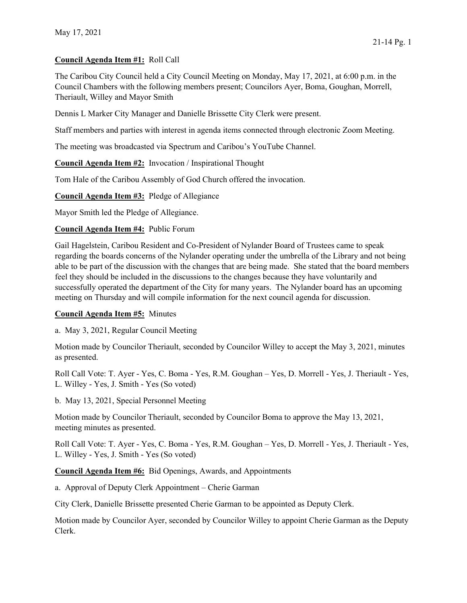# Council Agenda Item #1: Roll Call

The Caribou City Council held a City Council Meeting on Monday, May 17, 2021, at 6:00 p.m. in the Council Chambers with the following members present; Councilors Ayer, Boma, Goughan, Morrell, Theriault, Willey and Mayor Smith

Dennis L Marker City Manager and Danielle Brissette City Clerk were present.

Staff members and parties with interest in agenda items connected through electronic Zoom Meeting.

The meeting was broadcasted via Spectrum and Caribou's YouTube Channel.

Council Agenda Item #2: Invocation / Inspirational Thought

Tom Hale of the Caribou Assembly of God Church offered the invocation.

Council Agenda Item #3: Pledge of Allegiance

Mayor Smith led the Pledge of Allegiance.

#### Council Agenda Item #4: Public Forum

Gail Hagelstein, Caribou Resident and Co-President of Nylander Board of Trustees came to speak regarding the boards concerns of the Nylander operating under the umbrella of the Library and not being able to be part of the discussion with the changes that are being made. She stated that the board members feel they should be included in the discussions to the changes because they have voluntarily and successfully operated the department of the City for many years. The Nylander board has an upcoming meeting on Thursday and will compile information for the next council agenda for discussion.

#### Council Agenda Item #5: Minutes

a. May 3, 2021, Regular Council Meeting

Motion made by Councilor Theriault, seconded by Councilor Willey to accept the May 3, 2021, minutes as presented.

Roll Call Vote: T. Ayer - Yes, C. Boma - Yes, R.M. Goughan – Yes, D. Morrell - Yes, J. Theriault - Yes, L. Willey - Yes, J. Smith - Yes (So voted)

b. May 13, 2021, Special Personnel Meeting

Motion made by Councilor Theriault, seconded by Councilor Boma to approve the May 13, 2021, meeting minutes as presented.

Roll Call Vote: T. Ayer - Yes, C. Boma - Yes, R.M. Goughan – Yes, D. Morrell - Yes, J. Theriault - Yes, L. Willey - Yes, J. Smith - Yes (So voted)

Council Agenda Item #6: Bid Openings, Awards, and Appointments

a. Approval of Deputy Clerk Appointment – Cherie Garman

City Clerk, Danielle Brissette presented Cherie Garman to be appointed as Deputy Clerk.

Motion made by Councilor Ayer, seconded by Councilor Willey to appoint Cherie Garman as the Deputy Clerk.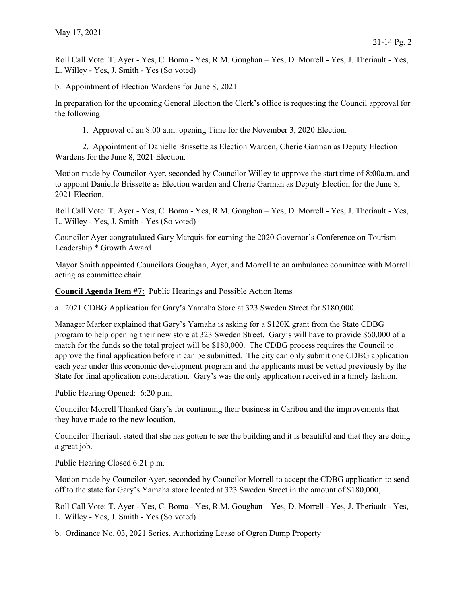Roll Call Vote: T. Ayer - Yes, C. Boma - Yes, R.M. Goughan – Yes, D. Morrell - Yes, J. Theriault - Yes, L. Willey - Yes, J. Smith - Yes (So voted)

b. Appointment of Election Wardens for June 8, 2021

In preparation for the upcoming General Election the Clerk's office is requesting the Council approval for the following:

1. Approval of an 8:00 a.m. opening Time for the November 3, 2020 Election.

 2. Appointment of Danielle Brissette as Election Warden, Cherie Garman as Deputy Election Wardens for the June 8, 2021 Election.

Motion made by Councilor Ayer, seconded by Councilor Willey to approve the start time of 8:00a.m. and to appoint Danielle Brissette as Election warden and Cherie Garman as Deputy Election for the June 8, 2021 Election.

Roll Call Vote: T. Ayer - Yes, C. Boma - Yes, R.M. Goughan – Yes, D. Morrell - Yes, J. Theriault - Yes, L. Willey - Yes, J. Smith - Yes (So voted)

Councilor Ayer congratulated Gary Marquis for earning the 2020 Governor's Conference on Tourism Leadership \* Growth Award

Mayor Smith appointed Councilors Goughan, Ayer, and Morrell to an ambulance committee with Morrell acting as committee chair.

Council Agenda Item #7: Public Hearings and Possible Action Items

a. 2021 CDBG Application for Gary's Yamaha Store at 323 Sweden Street for \$180,000

Manager Marker explained that Gary's Yamaha is asking for a \$120K grant from the State CDBG program to help opening their new store at 323 Sweden Street. Gary's will have to provide \$60,000 of a match for the funds so the total project will be \$180,000. The CDBG process requires the Council to approve the final application before it can be submitted. The city can only submit one CDBG application each year under this economic development program and the applicants must be vetted previously by the State for final application consideration. Gary's was the only application received in a timely fashion.

Public Hearing Opened: 6:20 p.m.

Councilor Morrell Thanked Gary's for continuing their business in Caribou and the improvements that they have made to the new location.

Councilor Theriault stated that she has gotten to see the building and it is beautiful and that they are doing a great job.

Public Hearing Closed 6:21 p.m.

Motion made by Councilor Ayer, seconded by Councilor Morrell to accept the CDBG application to send off to the state for Gary's Yamaha store located at 323 Sweden Street in the amount of \$180,000,

Roll Call Vote: T. Ayer - Yes, C. Boma - Yes, R.M. Goughan – Yes, D. Morrell - Yes, J. Theriault - Yes, L. Willey - Yes, J. Smith - Yes (So voted)

b. Ordinance No. 03, 2021 Series, Authorizing Lease of Ogren Dump Property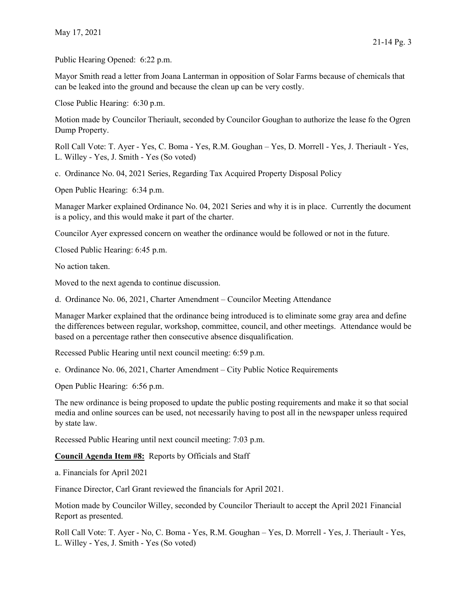Public Hearing Opened: 6:22 p.m.

Mayor Smith read a letter from Joana Lanterman in opposition of Solar Farms because of chemicals that can be leaked into the ground and because the clean up can be very costly.

Close Public Hearing: 6:30 p.m.

Motion made by Councilor Theriault, seconded by Councilor Goughan to authorize the lease fo the Ogren Dump Property.

Roll Call Vote: T. Ayer - Yes, C. Boma - Yes, R.M. Goughan – Yes, D. Morrell - Yes, J. Theriault - Yes, L. Willey - Yes, J. Smith - Yes (So voted)

c. Ordinance No. 04, 2021 Series, Regarding Tax Acquired Property Disposal Policy

Open Public Hearing: 6:34 p.m.

Manager Marker explained Ordinance No. 04, 2021 Series and why it is in place. Currently the document is a policy, and this would make it part of the charter.

Councilor Ayer expressed concern on weather the ordinance would be followed or not in the future.

Closed Public Hearing: 6:45 p.m.

No action taken.

Moved to the next agenda to continue discussion.

d. Ordinance No. 06, 2021, Charter Amendment – Councilor Meeting Attendance

Manager Marker explained that the ordinance being introduced is to eliminate some gray area and define the differences between regular, workshop, committee, council, and other meetings. Attendance would be based on a percentage rather then consecutive absence disqualification.

Recessed Public Hearing until next council meeting: 6:59 p.m.

e. Ordinance No. 06, 2021, Charter Amendment – City Public Notice Requirements

Open Public Hearing: 6:56 p.m.

The new ordinance is being proposed to update the public posting requirements and make it so that social media and online sources can be used, not necessarily having to post all in the newspaper unless required by state law.

Recessed Public Hearing until next council meeting: 7:03 p.m.

Council Agenda Item #8: Reports by Officials and Staff

a. Financials for April 2021

Finance Director, Carl Grant reviewed the financials for April 2021.

Motion made by Councilor Willey, seconded by Councilor Theriault to accept the April 2021 Financial Report as presented.

Roll Call Vote: T. Ayer - No, C. Boma - Yes, R.M. Goughan – Yes, D. Morrell - Yes, J. Theriault - Yes, L. Willey - Yes, J. Smith - Yes (So voted)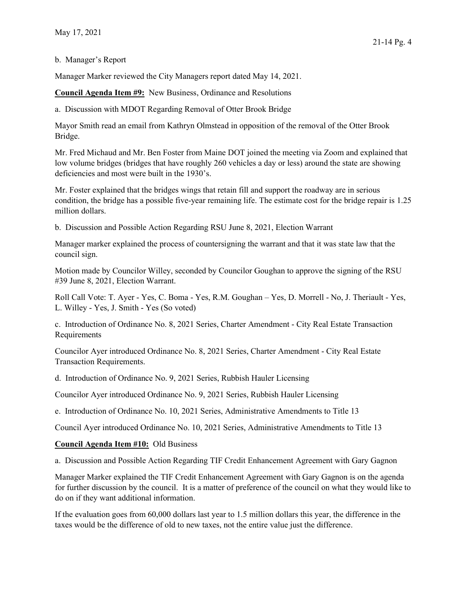### b. Manager's Report

Manager Marker reviewed the City Managers report dated May 14, 2021.

Council Agenda Item #9: New Business, Ordinance and Resolutions

a. Discussion with MDOT Regarding Removal of Otter Brook Bridge

Mayor Smith read an email from Kathryn Olmstead in opposition of the removal of the Otter Brook Bridge.

Mr. Fred Michaud and Mr. Ben Foster from Maine DOT joined the meeting via Zoom and explained that low volume bridges (bridges that have roughly 260 vehicles a day or less) around the state are showing deficiencies and most were built in the 1930's.

Mr. Foster explained that the bridges wings that retain fill and support the roadway are in serious condition, the bridge has a possible five-year remaining life. The estimate cost for the bridge repair is 1.25 million dollars.

b. Discussion and Possible Action Regarding RSU June 8, 2021, Election Warrant

Manager marker explained the process of countersigning the warrant and that it was state law that the council sign.

Motion made by Councilor Willey, seconded by Councilor Goughan to approve the signing of the RSU #39 June 8, 2021, Election Warrant.

Roll Call Vote: T. Ayer - Yes, C. Boma - Yes, R.M. Goughan – Yes, D. Morrell - No, J. Theriault - Yes, L. Willey - Yes, J. Smith - Yes (So voted)

c. Introduction of Ordinance No. 8, 2021 Series, Charter Amendment - City Real Estate Transaction Requirements

Councilor Ayer introduced Ordinance No. 8, 2021 Series, Charter Amendment - City Real Estate Transaction Requirements.

d. Introduction of Ordinance No. 9, 2021 Series, Rubbish Hauler Licensing

Councilor Ayer introduced Ordinance No. 9, 2021 Series, Rubbish Hauler Licensing

e. Introduction of Ordinance No. 10, 2021 Series, Administrative Amendments to Title 13

Council Ayer introduced Ordinance No. 10, 2021 Series, Administrative Amendments to Title 13

# Council Agenda Item #10: Old Business

a. Discussion and Possible Action Regarding TIF Credit Enhancement Agreement with Gary Gagnon

Manager Marker explained the TIF Credit Enhancement Agreement with Gary Gagnon is on the agenda for further discussion by the council. It is a matter of preference of the council on what they would like to do on if they want additional information.

If the evaluation goes from 60,000 dollars last year to 1.5 million dollars this year, the difference in the taxes would be the difference of old to new taxes, not the entire value just the difference.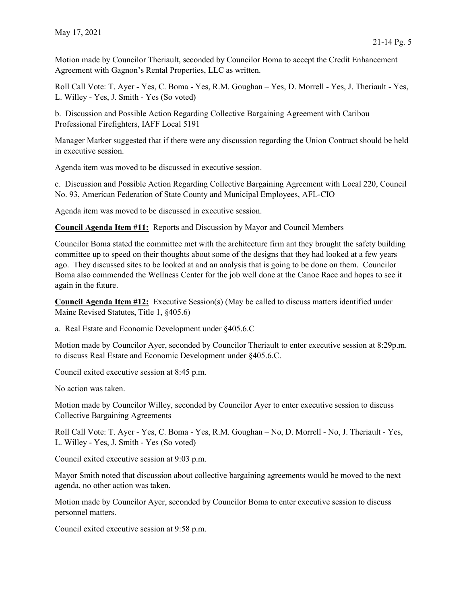Motion made by Councilor Theriault, seconded by Councilor Boma to accept the Credit Enhancement Agreement with Gagnon's Rental Properties, LLC as written.

Roll Call Vote: T. Ayer - Yes, C. Boma - Yes, R.M. Goughan – Yes, D. Morrell - Yes, J. Theriault - Yes, L. Willey - Yes, J. Smith - Yes (So voted)

b. Discussion and Possible Action Regarding Collective Bargaining Agreement with Caribou Professional Firefighters, IAFF Local 5191

Manager Marker suggested that if there were any discussion regarding the Union Contract should be held in executive session.

Agenda item was moved to be discussed in executive session.

c. Discussion and Possible Action Regarding Collective Bargaining Agreement with Local 220, Council No. 93, American Federation of State County and Municipal Employees, AFL-CIO

Agenda item was moved to be discussed in executive session.

Council Agenda Item #11: Reports and Discussion by Mayor and Council Members

Councilor Boma stated the committee met with the architecture firm ant they brought the safety building committee up to speed on their thoughts about some of the designs that they had looked at a few years ago. They discussed sites to be looked at and an analysis that is going to be done on them. Councilor Boma also commended the Wellness Center for the job well done at the Canoe Race and hopes to see it again in the future.

Council Agenda Item #12: Executive Session(s) (May be called to discuss matters identified under Maine Revised Statutes, Title 1, §405.6)

a. Real Estate and Economic Development under §405.6.C

Motion made by Councilor Ayer, seconded by Councilor Theriault to enter executive session at 8:29p.m. to discuss Real Estate and Economic Development under §405.6.C.

Council exited executive session at 8:45 p.m.

No action was taken.

Motion made by Councilor Willey, seconded by Councilor Ayer to enter executive session to discuss Collective Bargaining Agreements

Roll Call Vote: T. Ayer - Yes, C. Boma - Yes, R.M. Goughan – No, D. Morrell - No, J. Theriault - Yes, L. Willey - Yes, J. Smith - Yes (So voted)

Council exited executive session at 9:03 p.m.

Mayor Smith noted that discussion about collective bargaining agreements would be moved to the next agenda, no other action was taken.

Motion made by Councilor Ayer, seconded by Councilor Boma to enter executive session to discuss personnel matters.

Council exited executive session at 9:58 p.m.